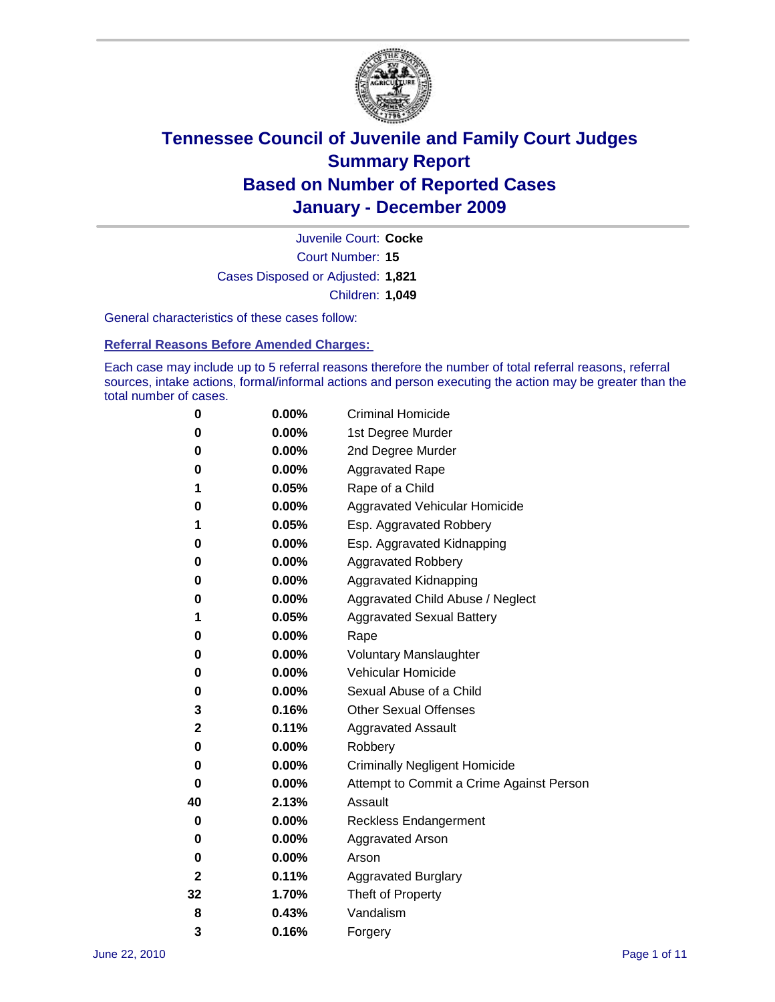

Court Number: **15** Juvenile Court: **Cocke** Cases Disposed or Adjusted: **1,821** Children: **1,049**

General characteristics of these cases follow:

**Referral Reasons Before Amended Charges:** 

Each case may include up to 5 referral reasons therefore the number of total referral reasons, referral sources, intake actions, formal/informal actions and person executing the action may be greater than the total number of cases.

| 0  | 0.00%    | <b>Criminal Homicide</b>                 |  |  |
|----|----------|------------------------------------------|--|--|
| 0  | 0.00%    | 1st Degree Murder                        |  |  |
| 0  | 0.00%    | 2nd Degree Murder                        |  |  |
| 0  | 0.00%    | <b>Aggravated Rape</b>                   |  |  |
| 1  | 0.05%    | Rape of a Child                          |  |  |
| 0  | 0.00%    | Aggravated Vehicular Homicide            |  |  |
| 1  | 0.05%    | Esp. Aggravated Robbery                  |  |  |
| 0  | 0.00%    | Esp. Aggravated Kidnapping               |  |  |
| 0  | 0.00%    | <b>Aggravated Robbery</b>                |  |  |
| 0  | 0.00%    | Aggravated Kidnapping                    |  |  |
| 0  | 0.00%    | Aggravated Child Abuse / Neglect         |  |  |
| 1  | 0.05%    | <b>Aggravated Sexual Battery</b>         |  |  |
| 0  | 0.00%    | Rape                                     |  |  |
| 0  | $0.00\%$ | <b>Voluntary Manslaughter</b>            |  |  |
| 0  | 0.00%    | Vehicular Homicide                       |  |  |
| 0  | 0.00%    | Sexual Abuse of a Child                  |  |  |
| 3  | 0.16%    | <b>Other Sexual Offenses</b>             |  |  |
| 2  | 0.11%    | <b>Aggravated Assault</b>                |  |  |
| 0  | $0.00\%$ | Robbery                                  |  |  |
| 0  | 0.00%    | <b>Criminally Negligent Homicide</b>     |  |  |
| 0  | 0.00%    | Attempt to Commit a Crime Against Person |  |  |
| 40 | 2.13%    | Assault                                  |  |  |
| 0  | 0.00%    | <b>Reckless Endangerment</b>             |  |  |
| 0  | 0.00%    | <b>Aggravated Arson</b>                  |  |  |
| 0  | 0.00%    | Arson                                    |  |  |
| 2  | 0.11%    | <b>Aggravated Burglary</b>               |  |  |
| 32 | 1.70%    | Theft of Property                        |  |  |
| 8  | 0.43%    | Vandalism                                |  |  |
| 3  | 0.16%    | Forgery                                  |  |  |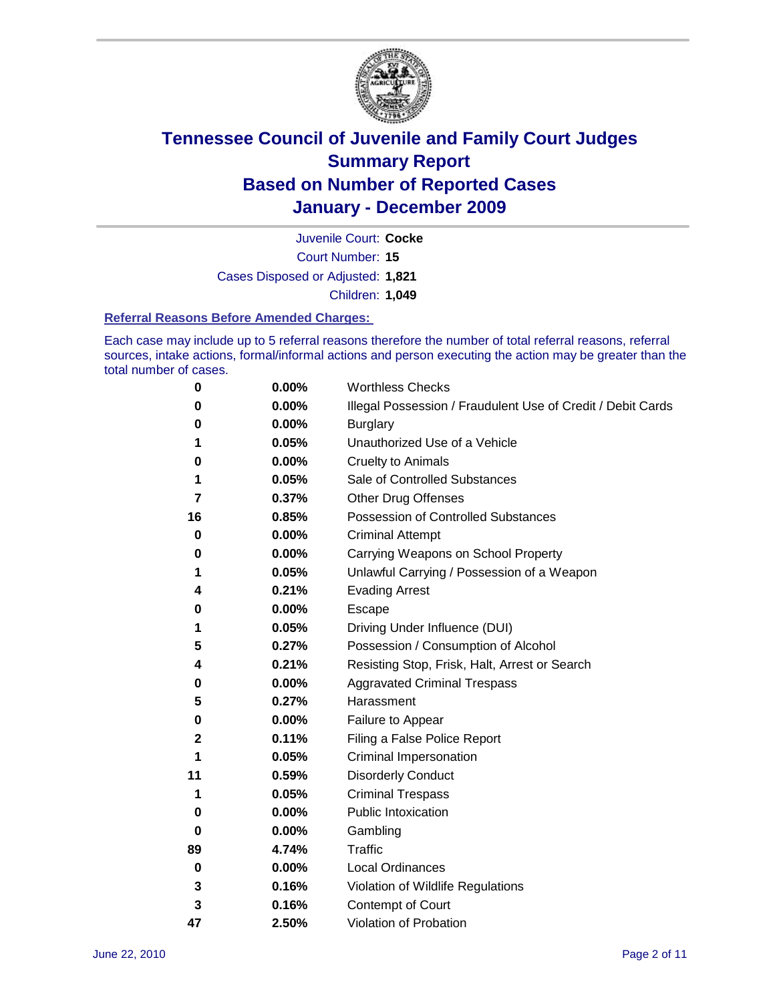

Court Number: **15** Juvenile Court: **Cocke** Cases Disposed or Adjusted: **1,821** Children: **1,049**

#### **Referral Reasons Before Amended Charges:**

Each case may include up to 5 referral reasons therefore the number of total referral reasons, referral sources, intake actions, formal/informal actions and person executing the action may be greater than the total number of cases.

| 0  | 0.00% | <b>Worthless Checks</b>                                     |
|----|-------|-------------------------------------------------------------|
| 0  | 0.00% | Illegal Possession / Fraudulent Use of Credit / Debit Cards |
| 0  | 0.00% | <b>Burglary</b>                                             |
| 1  | 0.05% | Unauthorized Use of a Vehicle                               |
| 0  | 0.00% | <b>Cruelty to Animals</b>                                   |
| 1  | 0.05% | Sale of Controlled Substances                               |
| 7  | 0.37% | <b>Other Drug Offenses</b>                                  |
| 16 | 0.85% | Possession of Controlled Substances                         |
| 0  | 0.00% | <b>Criminal Attempt</b>                                     |
| 0  | 0.00% | Carrying Weapons on School Property                         |
| 1  | 0.05% | Unlawful Carrying / Possession of a Weapon                  |
| 4  | 0.21% | <b>Evading Arrest</b>                                       |
| 0  | 0.00% | Escape                                                      |
| 1  | 0.05% | Driving Under Influence (DUI)                               |
| 5  | 0.27% | Possession / Consumption of Alcohol                         |
| 4  | 0.21% | Resisting Stop, Frisk, Halt, Arrest or Search               |
| 0  | 0.00% | <b>Aggravated Criminal Trespass</b>                         |
| 5  | 0.27% | Harassment                                                  |
| 0  | 0.00% | Failure to Appear                                           |
| 2  | 0.11% | Filing a False Police Report                                |
| 1  | 0.05% | Criminal Impersonation                                      |
| 11 | 0.59% | <b>Disorderly Conduct</b>                                   |
| 1  | 0.05% | <b>Criminal Trespass</b>                                    |
| 0  | 0.00% | Public Intoxication                                         |
| 0  | 0.00% | Gambling                                                    |
| 89 | 4.74% | Traffic                                                     |
| 0  | 0.00% | <b>Local Ordinances</b>                                     |
| 3  | 0.16% | Violation of Wildlife Regulations                           |
| 3  | 0.16% | Contempt of Court                                           |
| 47 | 2.50% | Violation of Probation                                      |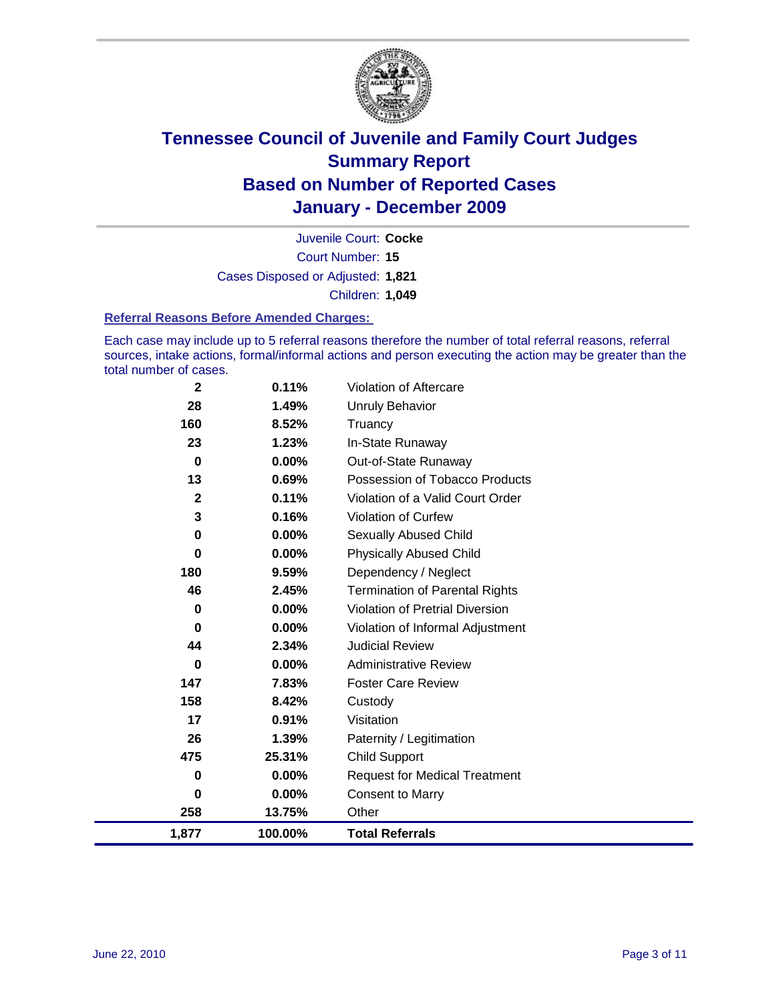

Court Number: **15** Juvenile Court: **Cocke** Cases Disposed or Adjusted: **1,821** Children: **1,049**

#### **Referral Reasons Before Amended Charges:**

Each case may include up to 5 referral reasons therefore the number of total referral reasons, referral sources, intake actions, formal/informal actions and person executing the action may be greater than the total number of cases.

| 1,877       | 100.00%  | <b>Total Referrals</b>                 |
|-------------|----------|----------------------------------------|
| 258         | 13.75%   | Other                                  |
| 0           | $0.00\%$ | <b>Consent to Marry</b>                |
| 0           | $0.00\%$ | <b>Request for Medical Treatment</b>   |
| 475         | 25.31%   | <b>Child Support</b>                   |
| 26          | 1.39%    | Paternity / Legitimation               |
| 17          | 0.91%    | Visitation                             |
| 158         | 8.42%    | Custody                                |
| 147         | 7.83%    | <b>Foster Care Review</b>              |
| 0           | $0.00\%$ | <b>Administrative Review</b>           |
| 44          | 2.34%    | <b>Judicial Review</b>                 |
| 0           | $0.00\%$ | Violation of Informal Adjustment       |
| 0           | 0.00%    | <b>Violation of Pretrial Diversion</b> |
| 46          | 2.45%    | <b>Termination of Parental Rights</b>  |
| 180         | 9.59%    | Dependency / Neglect                   |
| $\mathbf 0$ | $0.00\%$ | <b>Physically Abused Child</b>         |
| 0           | $0.00\%$ | <b>Sexually Abused Child</b>           |
| 3           | 0.16%    | Violation of Curfew                    |
| $\mathbf 2$ | 0.11%    | Violation of a Valid Court Order       |
| 13          | 0.69%    | Possession of Tobacco Products         |
| 0           | $0.00\%$ | Out-of-State Runaway                   |
| 23          | 1.23%    | In-State Runaway                       |
| 160         | 8.52%    | Truancy                                |
| 28          | 1.49%    | <b>Unruly Behavior</b>                 |
| $\mathbf 2$ | 0.11%    | Violation of Aftercare                 |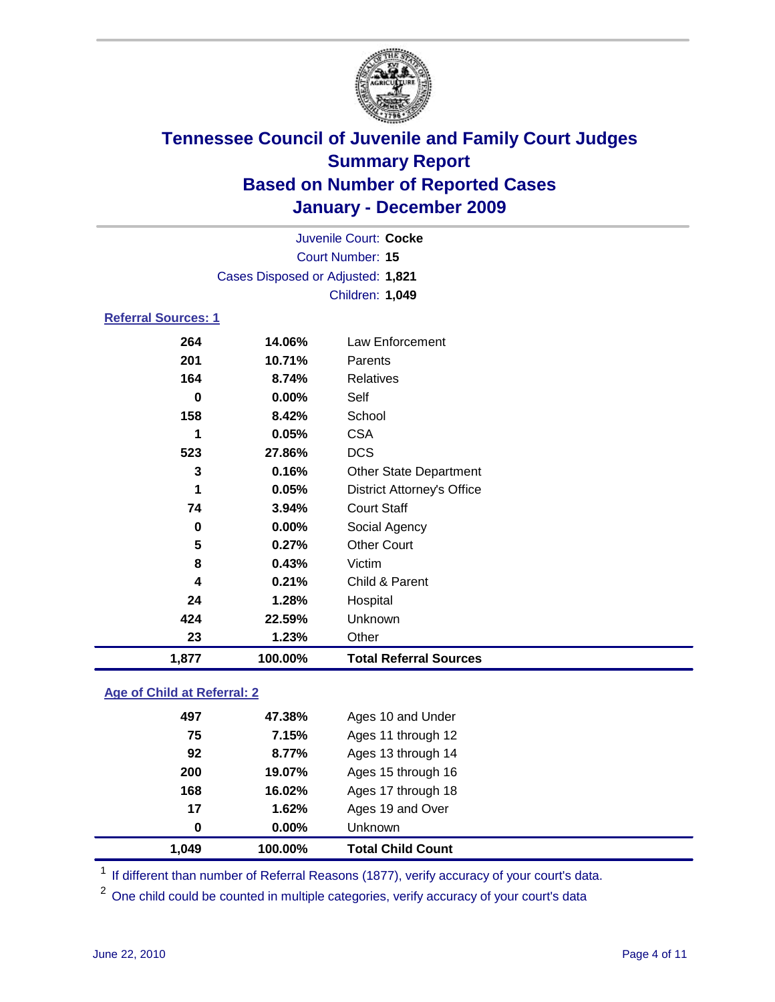

|                            | Juvenile Court: Cocke             |                                   |  |  |
|----------------------------|-----------------------------------|-----------------------------------|--|--|
| Court Number: 15           |                                   |                                   |  |  |
|                            | Cases Disposed or Adjusted: 1,821 |                                   |  |  |
|                            |                                   | Children: 1,049                   |  |  |
| <b>Referral Sources: 1</b> |                                   |                                   |  |  |
| 264                        | 14.06%                            | <b>Law Enforcement</b>            |  |  |
| 201                        | 10.71%                            | Parents                           |  |  |
| 164                        | 8.74%                             | <b>Relatives</b>                  |  |  |
| 0                          | 0.00%                             | Self                              |  |  |
| 158                        | 8.42%                             | School                            |  |  |
| 1                          | 0.05%                             | <b>CSA</b>                        |  |  |
| 523                        | 27.86%                            | <b>DCS</b>                        |  |  |
| 3                          | 0.16%                             | <b>Other State Department</b>     |  |  |
| 1                          | 0.05%                             | <b>District Attorney's Office</b> |  |  |
| 74                         | 3.94%                             | <b>Court Staff</b>                |  |  |
| 0                          | 0.00%                             | Social Agency                     |  |  |
| 5                          | 0.27%                             | <b>Other Court</b>                |  |  |
| 8                          | 0.43%                             | Victim                            |  |  |
| 4                          | 0.21%                             | Child & Parent                    |  |  |
| 24                         | 1.28%                             | Hospital                          |  |  |
| 424                        | 22.59%                            | Unknown                           |  |  |
| 23                         | 1.23%                             | Other                             |  |  |
| 1,877                      | 100.00%                           | <b>Total Referral Sources</b>     |  |  |

### **Age of Child at Referral: 2**

| 0   | 0.00%  |                    |  |
|-----|--------|--------------------|--|
|     |        | Unknown            |  |
| 17  | 1.62%  | Ages 19 and Over   |  |
| 168 | 16.02% | Ages 17 through 18 |  |
| 200 | 19.07% | Ages 15 through 16 |  |
| 92  | 8.77%  | Ages 13 through 14 |  |
| 75  | 7.15%  | Ages 11 through 12 |  |
| 497 | 47.38% | Ages 10 and Under  |  |
|     |        |                    |  |

<sup>1</sup> If different than number of Referral Reasons (1877), verify accuracy of your court's data.

<sup>2</sup> One child could be counted in multiple categories, verify accuracy of your court's data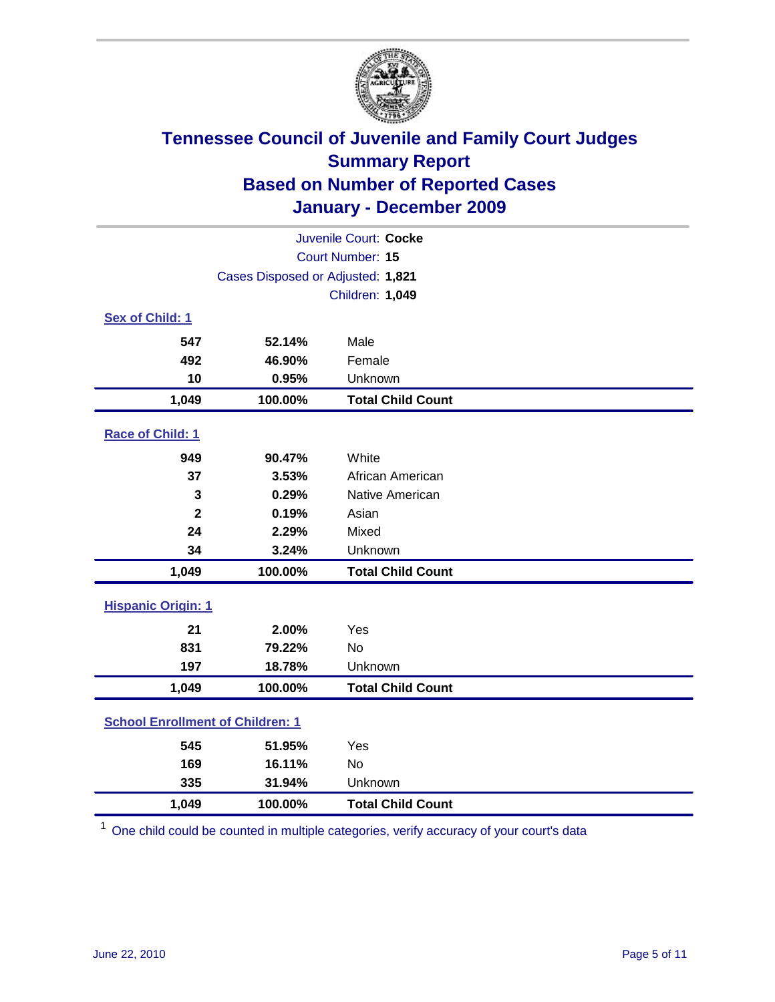

| Juvenile Court: Cocke                   |                                   |                          |  |  |
|-----------------------------------------|-----------------------------------|--------------------------|--|--|
| <b>Court Number: 15</b>                 |                                   |                          |  |  |
|                                         | Cases Disposed or Adjusted: 1,821 |                          |  |  |
|                                         |                                   | Children: 1,049          |  |  |
| Sex of Child: 1                         |                                   |                          |  |  |
| 547                                     | 52.14%                            | Male                     |  |  |
| 492                                     | 46.90%                            | Female                   |  |  |
| 10                                      | 0.95%                             | Unknown                  |  |  |
| 1,049                                   | 100.00%                           | <b>Total Child Count</b> |  |  |
| Race of Child: 1                        |                                   |                          |  |  |
| 949                                     | 90.47%                            | White                    |  |  |
| 37                                      | 3.53%                             | African American         |  |  |
| 3                                       | 0.29%                             | Native American          |  |  |
| $\overline{\mathbf{2}}$                 | 0.19%                             | Asian                    |  |  |
| 24                                      | 2.29%                             | Mixed                    |  |  |
| 34                                      | 3.24%                             | Unknown                  |  |  |
| 1,049                                   | 100.00%                           | <b>Total Child Count</b> |  |  |
| <b>Hispanic Origin: 1</b>               |                                   |                          |  |  |
| 21                                      | 2.00%                             | Yes                      |  |  |
| 831                                     | 79.22%                            | <b>No</b>                |  |  |
| 197                                     | 18.78%                            | Unknown                  |  |  |
| 1,049                                   | 100.00%                           | <b>Total Child Count</b> |  |  |
| <b>School Enrollment of Children: 1</b> |                                   |                          |  |  |
| 545                                     | 51.95%                            | Yes                      |  |  |
| 169                                     | 16.11%                            | No                       |  |  |
| 335                                     | 31.94%                            | Unknown                  |  |  |
| 1,049                                   | 100.00%                           | <b>Total Child Count</b> |  |  |

<sup>1</sup> One child could be counted in multiple categories, verify accuracy of your court's data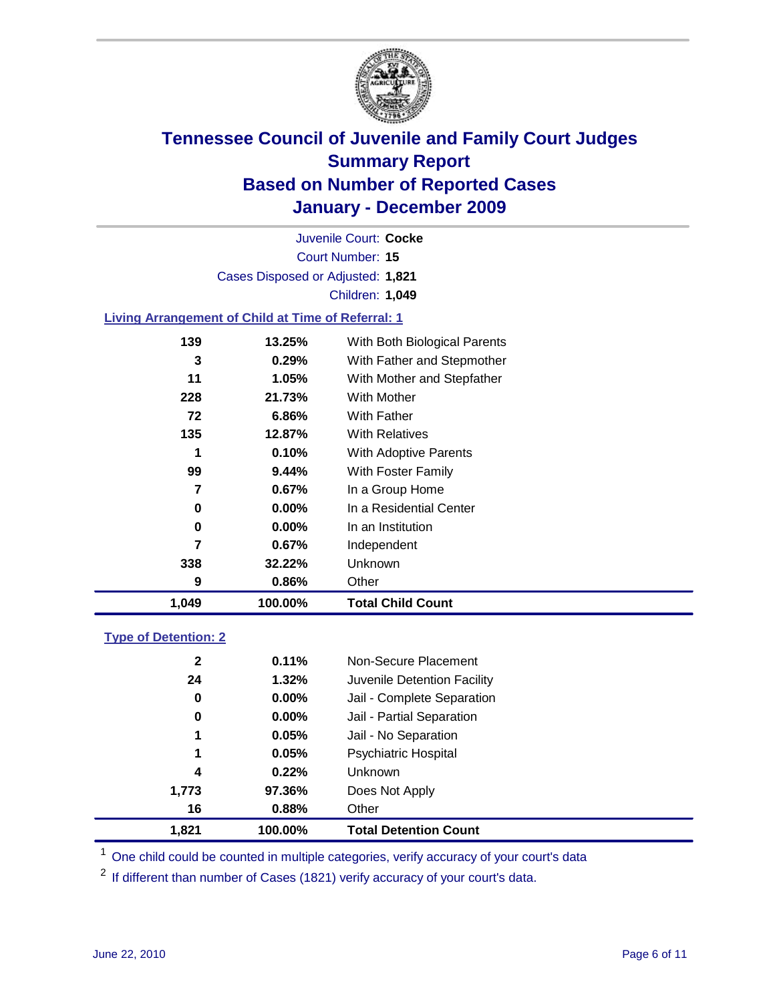

Court Number: **15** Juvenile Court: **Cocke** Cases Disposed or Adjusted: **1,821** Children: **1,049**

### **Living Arrangement of Child at Time of Referral: 1**

| 1,049 | 100.00%  | <b>Total Child Count</b>     |
|-------|----------|------------------------------|
| 9     | 0.86%    | Other                        |
| 338   | 32.22%   | Unknown                      |
| 7     | $0.67\%$ | Independent                  |
| 0     | $0.00\%$ | In an Institution            |
| 0     | $0.00\%$ | In a Residential Center      |
| 7     | 0.67%    | In a Group Home              |
| 99    | 9.44%    | With Foster Family           |
| 1     | 0.10%    | With Adoptive Parents        |
| 135   | 12.87%   | <b>With Relatives</b>        |
| 72    | 6.86%    | With Father                  |
| 228   | 21.73%   | With Mother                  |
| 11    | 1.05%    | With Mother and Stepfather   |
| 3     | 0.29%    | With Father and Stepmother   |
| 139   | 13.25%   | With Both Biological Parents |

### **Type of Detention: 2**

| 1,821        | 100.00%  | <b>Total Detention Count</b> |  |
|--------------|----------|------------------------------|--|
| 16           | 0.88%    | Other                        |  |
| 1,773        | 97.36%   | Does Not Apply               |  |
| 4            | 0.22%    | Unknown                      |  |
| 1            | 0.05%    | Psychiatric Hospital         |  |
| 1            | 0.05%    | Jail - No Separation         |  |
| 0            | $0.00\%$ | Jail - Partial Separation    |  |
| 0            | 0.00%    | Jail - Complete Separation   |  |
| 24           | 1.32%    | Juvenile Detention Facility  |  |
| $\mathbf{2}$ | 0.11%    | Non-Secure Placement         |  |
|              |          |                              |  |

<sup>1</sup> One child could be counted in multiple categories, verify accuracy of your court's data

<sup>2</sup> If different than number of Cases (1821) verify accuracy of your court's data.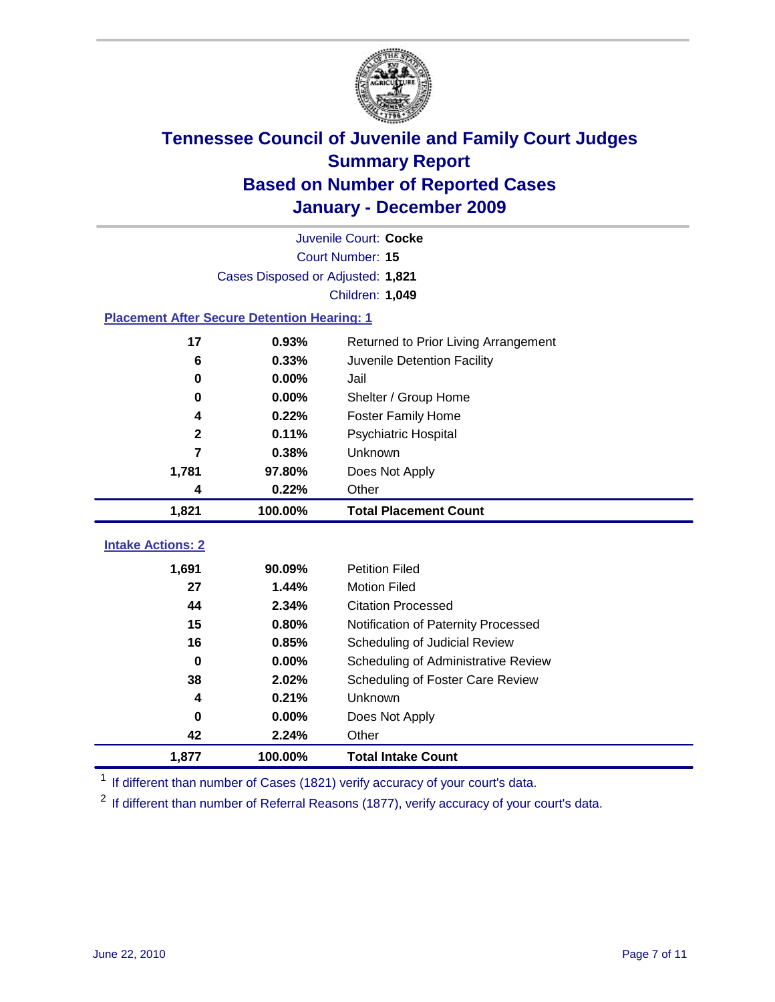

|                                                    | Juvenile Court: Cocke             |                                      |  |  |  |
|----------------------------------------------------|-----------------------------------|--------------------------------------|--|--|--|
|                                                    | Court Number: 15                  |                                      |  |  |  |
|                                                    | Cases Disposed or Adjusted: 1,821 |                                      |  |  |  |
|                                                    |                                   | Children: 1,049                      |  |  |  |
| <b>Placement After Secure Detention Hearing: 1</b> |                                   |                                      |  |  |  |
| 17                                                 | 0.93%                             | Returned to Prior Living Arrangement |  |  |  |
| 6                                                  | 0.33%                             | Juvenile Detention Facility          |  |  |  |
| 0                                                  | 0.00%                             | Jail                                 |  |  |  |
| 0                                                  | 0.00%                             | Shelter / Group Home                 |  |  |  |
| 4                                                  | 0.22%                             | <b>Foster Family Home</b>            |  |  |  |
| $\mathbf{2}$                                       | 0.11%                             | Psychiatric Hospital                 |  |  |  |
| 7                                                  | 0.38%                             | Unknown                              |  |  |  |
| 1,781                                              | 97.80%                            | Does Not Apply                       |  |  |  |
| 4                                                  | 0.22%                             | Other                                |  |  |  |
| 1,821                                              | 100.00%                           | <b>Total Placement Count</b>         |  |  |  |
| <b>Intake Actions: 2</b>                           |                                   |                                      |  |  |  |
|                                                    |                                   |                                      |  |  |  |
| 1,691                                              | 90.09%                            | <b>Petition Filed</b>                |  |  |  |
| 27                                                 | 1.44%                             | <b>Motion Filed</b>                  |  |  |  |
| 44                                                 | 2.34%                             | <b>Citation Processed</b>            |  |  |  |
| 15                                                 | 0.80%                             | Notification of Paternity Processed  |  |  |  |
| 16                                                 | 0.85%                             | Scheduling of Judicial Review        |  |  |  |
| $\bf{0}$                                           | 0.00%                             | Scheduling of Administrative Review  |  |  |  |
| 38                                                 | 2.02%                             | Scheduling of Foster Care Review     |  |  |  |
| 4                                                  | 0.21%                             | Unknown                              |  |  |  |
| 0                                                  | 0.00%                             | Does Not Apply                       |  |  |  |
| 42                                                 | 2.24%                             | Other                                |  |  |  |
| 1,877                                              | 100.00%                           | <b>Total Intake Count</b>            |  |  |  |

<sup>1</sup> If different than number of Cases (1821) verify accuracy of your court's data.

<sup>2</sup> If different than number of Referral Reasons (1877), verify accuracy of your court's data.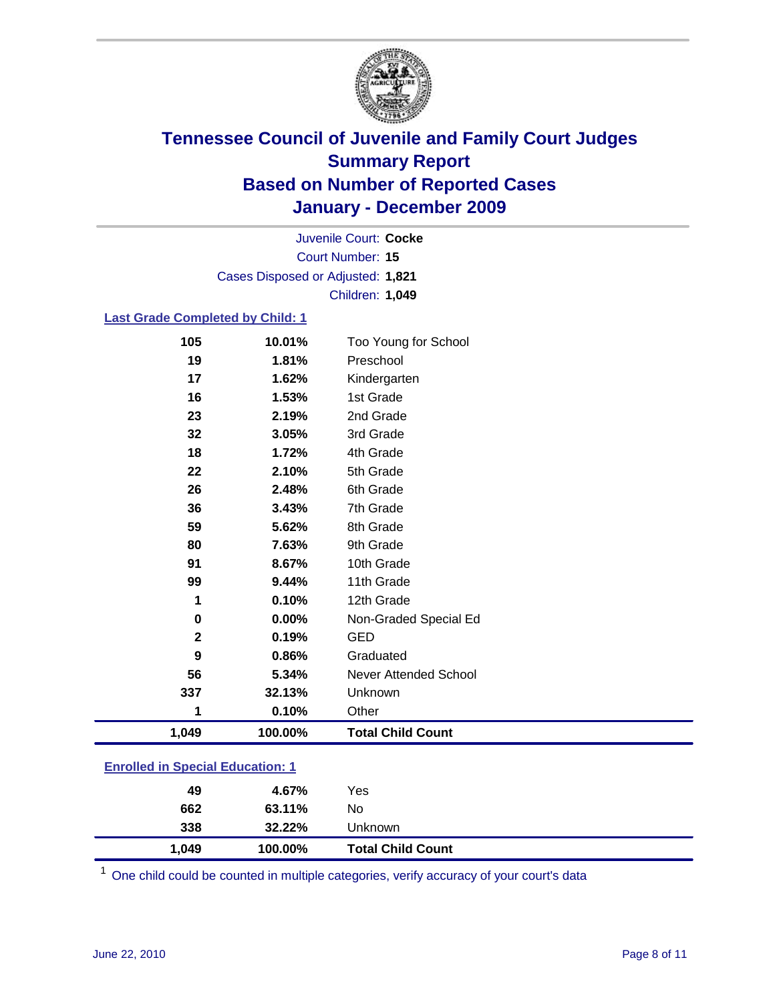

Court Number: **15** Juvenile Court: **Cocke** Cases Disposed or Adjusted: **1,821** Children: **1,049**

#### **Last Grade Completed by Child: 1**

| 105                                     | 10.01%  | Too Young for School         |  |
|-----------------------------------------|---------|------------------------------|--|
| 19                                      | 1.81%   | Preschool                    |  |
| 17                                      | 1.62%   | Kindergarten                 |  |
| 16                                      | 1.53%   | 1st Grade                    |  |
| 23                                      | 2.19%   | 2nd Grade                    |  |
| 32                                      | 3.05%   | 3rd Grade                    |  |
| 18                                      | 1.72%   | 4th Grade                    |  |
| 22                                      | 2.10%   | 5th Grade                    |  |
| 26                                      | 2.48%   | 6th Grade                    |  |
| 36                                      | 3.43%   | 7th Grade                    |  |
| 59                                      | 5.62%   | 8th Grade                    |  |
| 80                                      | 7.63%   | 9th Grade                    |  |
| 91                                      | 8.67%   | 10th Grade                   |  |
| 99                                      | 9.44%   | 11th Grade                   |  |
| 1                                       | 0.10%   | 12th Grade                   |  |
| 0                                       | 0.00%   | Non-Graded Special Ed        |  |
| $\mathbf{2}$                            | 0.19%   | <b>GED</b>                   |  |
| 9                                       | 0.86%   | Graduated                    |  |
| 56                                      | 5.34%   | <b>Never Attended School</b> |  |
| 337                                     | 32.13%  | Unknown                      |  |
| 1                                       | 0.10%   | Other                        |  |
| 1,049                                   | 100.00% | <b>Total Child Count</b>     |  |
| <b>Enrolled in Special Education: 1</b> |         |                              |  |

| 1.049                                   | 100.00% | <b>Total Child Count</b> |  |  |
|-----------------------------------------|---------|--------------------------|--|--|
| 338                                     | 32.22%  | Unknown                  |  |  |
| 662                                     | 63.11%  | No                       |  |  |
| 49                                      | 4.67%   | Yes                      |  |  |
| $\mathbf{r}$ viiva  opponal Eauvaliviii |         |                          |  |  |

One child could be counted in multiple categories, verify accuracy of your court's data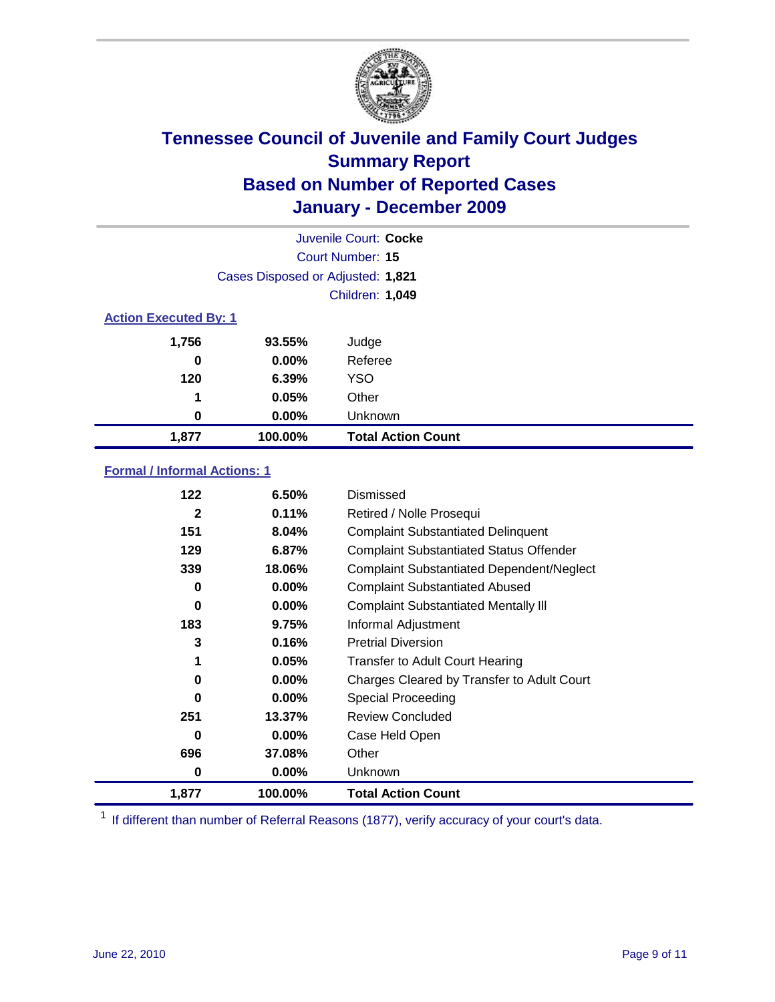

|                              | Juvenile Court: Cocke             |                           |  |  |  |
|------------------------------|-----------------------------------|---------------------------|--|--|--|
|                              | Court Number: 15                  |                           |  |  |  |
|                              | Cases Disposed or Adjusted: 1,821 |                           |  |  |  |
|                              | Children: 1,049                   |                           |  |  |  |
| <b>Action Executed By: 1</b> |                                   |                           |  |  |  |
| 1,756                        | 93.55%                            | Judge                     |  |  |  |
| 0                            | $0.00\%$                          | Referee                   |  |  |  |
| 120                          | 6.39%                             | <b>YSO</b>                |  |  |  |
| 1                            | 0.05%                             | Other                     |  |  |  |
| 0                            | $0.00\%$                          | Unknown                   |  |  |  |
| 1,877                        | 100.00%                           | <b>Total Action Count</b> |  |  |  |

### **Formal / Informal Actions: 1**

| 1,877        | 100.00%  | <b>Total Action Count</b>                        |
|--------------|----------|--------------------------------------------------|
| 0            | $0.00\%$ | Unknown                                          |
| 696          | 37.08%   | Other                                            |
| 0            | $0.00\%$ | Case Held Open                                   |
| 251          | 13.37%   | <b>Review Concluded</b>                          |
| 0            | $0.00\%$ | Special Proceeding                               |
| 0            | $0.00\%$ | Charges Cleared by Transfer to Adult Court       |
| 1            | 0.05%    | <b>Transfer to Adult Court Hearing</b>           |
| 3            | 0.16%    | <b>Pretrial Diversion</b>                        |
| 183          | 9.75%    | Informal Adjustment                              |
| 0            | $0.00\%$ | <b>Complaint Substantiated Mentally III</b>      |
| 0            | $0.00\%$ | <b>Complaint Substantiated Abused</b>            |
| 339          | 18.06%   | <b>Complaint Substantiated Dependent/Neglect</b> |
| 129          | 6.87%    | <b>Complaint Substantiated Status Offender</b>   |
| 151          | 8.04%    | <b>Complaint Substantiated Delinquent</b>        |
| $\mathbf{2}$ | 0.11%    | Retired / Nolle Prosequi                         |
| 122          | 6.50%    | Dismissed                                        |

<sup>1</sup> If different than number of Referral Reasons (1877), verify accuracy of your court's data.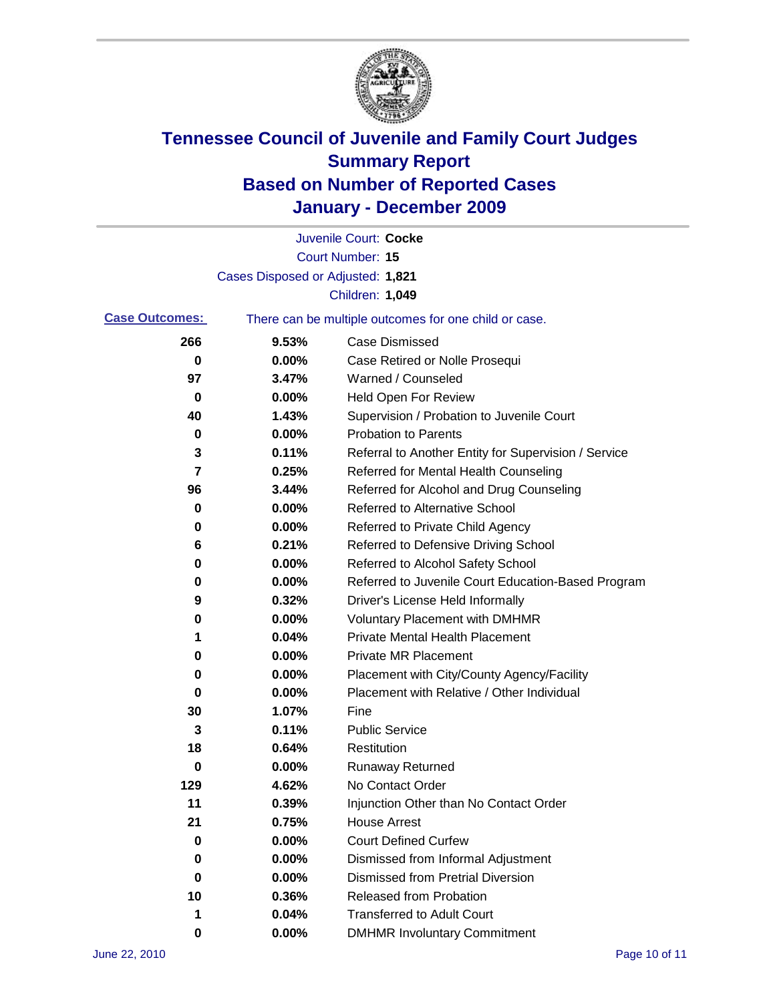

|                       |                                   | Juvenile Court: Cocke                                 |
|-----------------------|-----------------------------------|-------------------------------------------------------|
|                       |                                   | <b>Court Number: 15</b>                               |
|                       | Cases Disposed or Adjusted: 1,821 |                                                       |
|                       |                                   | Children: 1,049                                       |
| <b>Case Outcomes:</b> |                                   | There can be multiple outcomes for one child or case. |
| 266                   | 9.53%                             | <b>Case Dismissed</b>                                 |
| 0                     | 0.00%                             | Case Retired or Nolle Prosequi                        |
| 97                    | 3.47%                             | Warned / Counseled                                    |
| 0                     | 0.00%                             | <b>Held Open For Review</b>                           |
| 40                    | 1.43%                             | Supervision / Probation to Juvenile Court             |
| 0                     | 0.00%                             | <b>Probation to Parents</b>                           |
| 3                     | 0.11%                             | Referral to Another Entity for Supervision / Service  |
| 7                     | 0.25%                             | Referred for Mental Health Counseling                 |
| 96                    | 3.44%                             | Referred for Alcohol and Drug Counseling              |
| 0                     | 0.00%                             | <b>Referred to Alternative School</b>                 |
| 0                     | 0.00%                             | Referred to Private Child Agency                      |
| 6                     | 0.21%                             | Referred to Defensive Driving School                  |
| 0                     | 0.00%                             | Referred to Alcohol Safety School                     |
| 0                     | 0.00%                             | Referred to Juvenile Court Education-Based Program    |
| 9                     | 0.32%                             | Driver's License Held Informally                      |
| 0                     | 0.00%                             | <b>Voluntary Placement with DMHMR</b>                 |
| 1                     | 0.04%                             | <b>Private Mental Health Placement</b>                |
| 0                     | 0.00%                             | <b>Private MR Placement</b>                           |
| 0                     | 0.00%                             | Placement with City/County Agency/Facility            |
| 0                     | 0.00%                             | Placement with Relative / Other Individual            |
| 30                    | 1.07%                             | Fine                                                  |
| 3                     | 0.11%                             | <b>Public Service</b>                                 |
| 18                    | 0.64%                             | Restitution                                           |
| 0                     | 0.00%                             | Runaway Returned                                      |
| 129                   | 4.62%                             | No Contact Order                                      |
| 11                    | 0.39%                             | Injunction Other than No Contact Order                |
| 21                    | 0.75%                             | <b>House Arrest</b>                                   |
| 0                     | 0.00%                             | <b>Court Defined Curfew</b>                           |
| 0                     | 0.00%                             | Dismissed from Informal Adjustment                    |
| 0                     | 0.00%                             | <b>Dismissed from Pretrial Diversion</b>              |
| 10                    | 0.36%                             | Released from Probation                               |
| 1                     | 0.04%                             | <b>Transferred to Adult Court</b>                     |
| 0                     | $0.00\%$                          | <b>DMHMR Involuntary Commitment</b>                   |